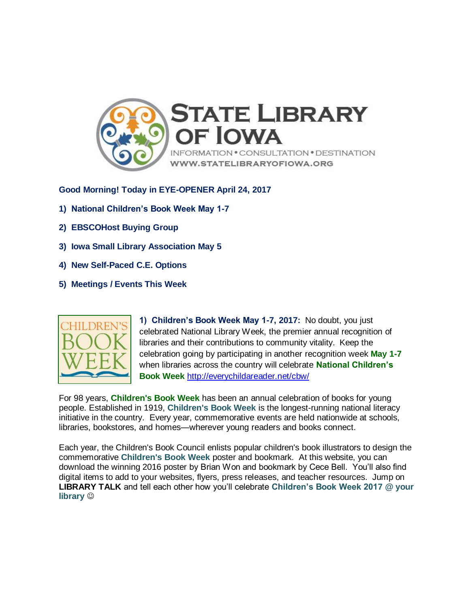

**Good Morning! Today in EYE-OPENER April 24, 2017**

- **1) National Children's Book Week May 1-7**
- **2) EBSCOHost Buying Group**
- **3) Iowa Small Library Association May 5**
- **4) New Self-Paced C.E. Options**
- **5) Meetings / Events This Week**



**1) Children's Book Week May 1-7, 2017:** No doubt, you just celebrated National Library Week, the premier annual recognition of libraries and their contributions to community vitality. Keep the celebration going by participating in another recognition week **May 1-7** when libraries across the country will celebrate **National Children's Book Week** <http://everychildareader.net/cbw/>

For 98 years, **Children's Book Week** has been an annual celebration of books for young people. Established in 1919, **Children's Book Week** is the longest-running national literacy initiative in the country. Every year, commemorative events are held nationwide at schools, libraries, bookstores, and homes—wherever young readers and books connect.

Each year, the Children's Book Council enlists popular children's book illustrators to design the commemorative **Children's Book Week** poster and bookmark. At this website, you can download the winning 2016 poster by Brian Won and bookmark by Cece Bell. You'll also find digital items to add to your websites, flyers, press releases, and teacher resources. Jump on **LIBRARY TALK** and tell each other how you'll celebrate **Children's Book Week 2017 @ your library**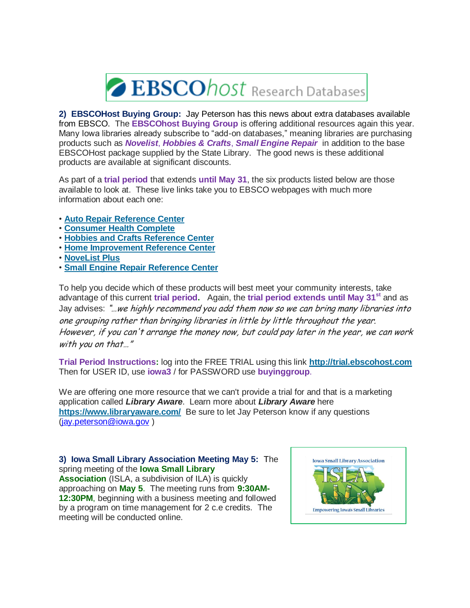

**2) EBSCOHost Buying Group:** Jay Peterson has this news about extra databases available from EBSCO. The **EBSCOhost Buying Group** is offering additional resources again this year. Many Iowa libraries already subscribe to "add-on databases," meaning libraries are purchasing products such as *Novelist*, *Hobbies & Crafts*, *Small Engine Repair* in addition to the base EBSCOHost package supplied by the State Library. The good news is these additional products are available at significant discounts.

As part of a **trial period** that extends **until May 31**, the six products listed below are those available to look at. These live links take you to EBSCO webpages with much more information about each one:

- **[Auto Repair Reference Center](http://support.ebsco.com/knowledge_base/index.php?page_function=select_service&sid=1031)**
- **[Consumer Health Complete](http://support.ebsco.com/knowledge_base/index.php?page_function=select_service&sid=1051)**
- **[Hobbies and Crafts Reference Center](http://support.ebsco.com/knowledge_base/index.php?page_function=select_service&sid=1087)**
- **[Home Improvement Reference Center](http://support.ebsco.com/knowledge_base/index.php?page_function=select_service&sid=1070)**
- **[NoveList Plus](http://support.ebsco.com/knowledge_base/index.php?page_function=select_service&sid=1077)**
- **[Small Engine Repair Reference Center](http://support.ebsco.com/knowledge_base/index.php?page_function=select_service&sid=1069)**

To help you decide which of these products will best meet your community interests, take advantage of this current **trial period.** Again, the **trial period extends until May 31st** and as Jay advises: "... we highly recommend you add them now so we can bring many libraries into one grouping rather than bringing libraries in little by little throughout the year. However, if you can't arrange the money now, but could pay later in the year, we can work with you on that..."

**Trial Period Instructions:** log into the FREE TRIAL using this link **[http://trial.ebscohost.com](http://trial.ebscohost.com/)** Then for USER ID, use **iowa3** / for PASSWORD use **buyinggroup**.

We are offering one more resource that we can't provide a trial for and that is a marketing application called *Library Aware*. Learn more about *Library Aware* here **<https://www.libraryaware.com/>** Be sure to let Jay Peterson know if any questions [\(jay.peterson@iowa.gov](mailto:jay.peterson@iowa.gov) )

## **3) Iowa Small Library Association Meeting May 5:** The spring meeting of the **Iowa Small Library**

**Association** (ISLA, a subdivision of ILA) is quickly approaching on **May 5**. The meeting runs from **9:30AM-12:30PM**, beginning with a business meeting and followed by a program on time management for 2 c.e credits. The meeting will be conducted online.

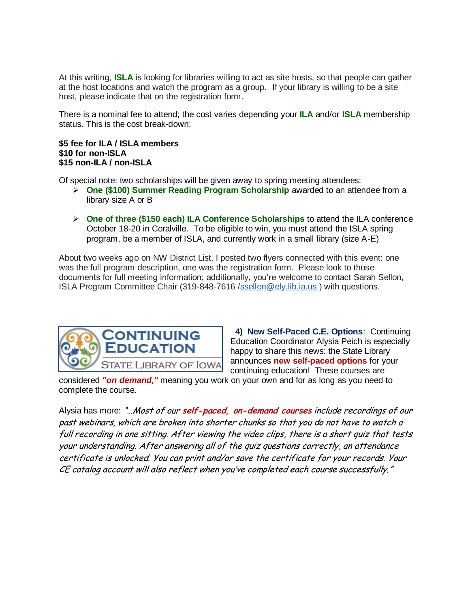At this writing, **ISLA** is looking for libraries willing to act as site hosts, so that people can gather at the host locations and watch the program as a group. If your library is willing to be a site host, please indicate that on the registration form.

There is a nominal fee to attend; the cost varies depending your **ILA** and/or **ISLA** membership status. This is the cost break-down:

## **\$5 fee for ILA / ISLA members \$10 for non-ISLA \$15 non-ILA / non-ISLA**

Of special note: two scholarships will be given away to spring meeting attendees:

- **One (\$100) Summer Reading Program Scholarship** awarded to an attendee from a library size A or B
- **One of three (\$150 each) ILA Conference Scholarships** to attend the ILA conference October 18-20 in Coralville. To be eligible to win, you must attend the ISLA spring program, be a member of ISLA, and currently work in a small library (size A-E)

About two weeks ago on NW District List, I posted two flyers connected with this event: one was the full program description, one was the registration form. Please look to those documents for full meeting information; additionally, you're welcome to contact Sarah Sellon, ISLA Program Committee Chair (319-848-7616 [/ssellon@ely.lib.ia.us](mailto:ssellon@ely.lib.ia.us)) with questions.



 **4) New Self-Paced C.E. Options**: Continuing Education Coordinator Alysia Peich is especially happy to share this news: the State Library announces **new self-paced options** for your continuing education! These courses are

considered *"on demand,"* meaning you work on your own and for as long as you need to complete the course.

Alysia has more: "…Most of our **self-paced, on-demand courses** include recordings of our past webinars, which are broken into shorter chunks so that you do not have to watch a full recording in one sitting. After viewing the video clips, there is a short quiz that tests your understanding. After answering all of the quiz questions correctly, an attendance certificate is unlocked. You can print and/or save the certificate for your records. Your CE catalog account will also reflect when you've completed each course successfully."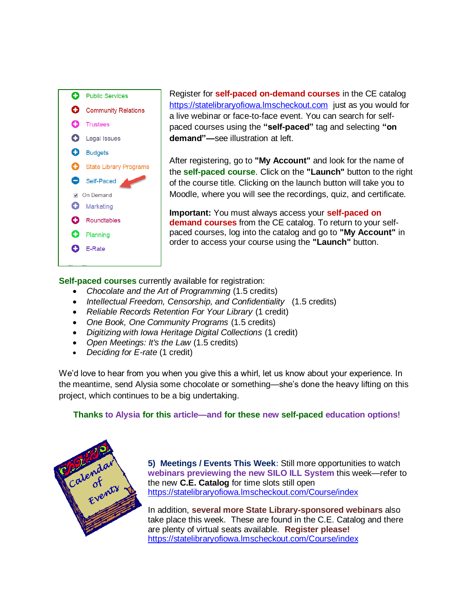

Register for **self-paced on-demand courses** in the CE catalog [https://statelibraryofiowa.lmscheckout.com](https://statelibraryofiowa.lmscheckout.com/) just as you would for a live webinar or face-to-face event. You can search for selfpaced courses using the **"self-paced"** tag and selecting **"on demand"—**see illustration at left.

After registering, go to **"My Account"** and look for the name of the **self-paced course**. Click on the **"Launch"** button to the right of the course title. Clicking on the launch button will take you to Moodle, where you will see the recordings, quiz, and certificate.

**Important:** You must always access your **self-paced on demand courses** from the CE catalog. To return to your selfpaced courses, log into the catalog and go to **"My Account"** in order to access your course using the **"Launch"** button.

**Self-paced courses** currently available for registration:

- *Chocolate and the Art of Programming* (1.5 credits)
- *Intellectual Freedom, Censorship, and Confidentiality* (1.5 credits)
- *Reliable Records Retention For Your Library* (1 credit)
- *One Book, One Community Programs* (1.5 credits)
- *Digitizing with Iowa Heritage Digital Collections* (1 credit)
- *Open Meetings: It's the Law* (1.5 credits)
- *Deciding for E-rate* (1 credit)

We'd love to hear from you when you give this a whirl, let us know about your experience. In the meantime, send Alysia some chocolate or something—she's done the heavy lifting on this project, which continues to be a big undertaking.

## **Thanks to Alysia for this article—and for these new self-paced education options**!



**5) Meetings / Events This Week:** Still more opportunities to watch **webinars previewing the new SILO ILL System** this week—refer to the new **C.E. Catalog** for time slots still open <https://statelibraryofiowa.lmscheckout.com/Course/index>

In addition, **several more State Library-sponsored webinars** also take place this week. These are found in the C.E. Catalog and there are plenty of virtual seats available. **Register please!** <https://statelibraryofiowa.lmscheckout.com/Course/index>